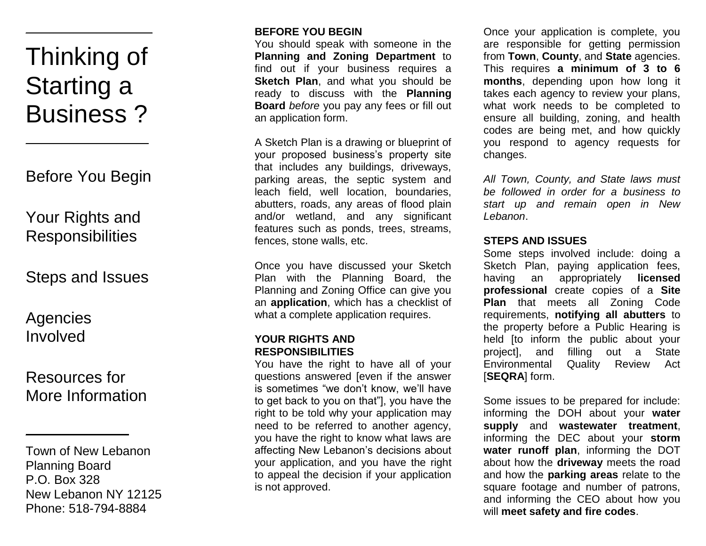# Thinking of Starting a Business ?

 $\mathcal{L}=\mathcal{L}=\mathcal{L}=\mathcal{L}=\mathcal{L}=\mathcal{L}=\mathcal{L}=\mathcal{L}=\mathcal{L}=\mathcal{L}=\mathcal{L}=\mathcal{L}=\mathcal{L}=\mathcal{L}=\mathcal{L}=\mathcal{L}=\mathcal{L}=\mathcal{L}=\mathcal{L}=\mathcal{L}=\mathcal{L}=\mathcal{L}=\mathcal{L}=\mathcal{L}=\mathcal{L}=\mathcal{L}=\mathcal{L}=\mathcal{L}=\mathcal{L}=\mathcal{L}=\mathcal{L}=\mathcal{L}=\mathcal{L}=\mathcal{L}=\mathcal{L}=\mathcal{L}=\mathcal{$ 

Before You Begin

 $\mathcal{L}=\{1,2,3,4,5\}$ 

Your Rights and Responsibilities

Steps and Issues

Agencies Involved

# Resources for More Information

 $\mathcal{L}=\mathcal{L}=\mathcal{L}=\mathcal{L}=\mathcal{L}=\mathcal{L}=\mathcal{L}=\mathcal{L}=\mathcal{L}=\mathcal{L}=\mathcal{L}=\mathcal{L}=\mathcal{L}=\mathcal{L}=\mathcal{L}=\mathcal{L}=\mathcal{L}=\mathcal{L}=\mathcal{L}=\mathcal{L}=\mathcal{L}=\mathcal{L}=\mathcal{L}=\mathcal{L}=\mathcal{L}=\mathcal{L}=\mathcal{L}=\mathcal{L}=\mathcal{L}=\mathcal{L}=\mathcal{L}=\mathcal{L}=\mathcal{L}=\mathcal{L}=\mathcal{L}=\mathcal{L}=\mathcal{$ 

Town of New Lebanon Planning Board P.O. Box 328 New Lebanon NY 12125 Phone: 518-794-8884

# **BEFORE YOU BEGIN**

You should speak with someone in the **Planning and Zoning Department** to find out if your business requires a **Sketch Plan**, and what you should be ready to discuss with the **Planning Board** *before* you pay any fees or fill out an application form.

A Sketch Plan is a drawing or blueprint of your proposed business's property site that includes any buildings, driveways, parking areas, the septic system and leach field, well location, boundaries, abutters, roads, any areas of flood plain and/or wetland, and any significant features such as ponds, trees, streams, fences, stone walls, etc.

Once you have discussed your Sketch Plan with the Planning Board, the Planning and Zoning Office can give you an **application**, which has a checklist of what a complete application requires.

#### **YOUR RIGHTS AND RESPONSIBILITIES**

You have the right to have all of your questions answered [even if the answer is sometimes "we don't know, we'll have to get back to you on that"], you have the right to be told why your application may need to be referred to another agency, you have the right to know what laws are affecting New Lebanon's decisions about your application, and you have the right to appeal the decision if your application is not approved.

Once your application is complete, you are responsible for getting permission from **Town**, **County**, and **State** agencies. This requires **a minimum of 3 to 6 months**, depending upon how long it takes each agency to review your plans, what work needs to be completed to ensure all building, zoning, and health codes are being met, and how quickly you respond to agency requests for changes.

*All Town, County, and State laws must be followed in order for a business to start up and remain open in New Lebanon*.

#### **STEPS AND ISSUES**

Some steps involved include: doing a Sketch Plan, paying application fees, having an appropriately **licensed professional** create copies of a **Site Plan** that meets all Zoning Code requirements, **notifying all abutters** to the property before a Public Hearing is held [to inform the public about your project], and filling out a State Environmental Quality Review Act [**SEQRA**] form.

Some issues to be prepared for include: informing the DOH about your **water supply** and **wastewater treatment**, informing the DEC about your **storm water runoff plan**, informing the DOT about how the **driveway** meets the road and how the **parking areas** relate to the square footage and number of patrons, and informing the CEO about how you will **meet safety and fire codes**.